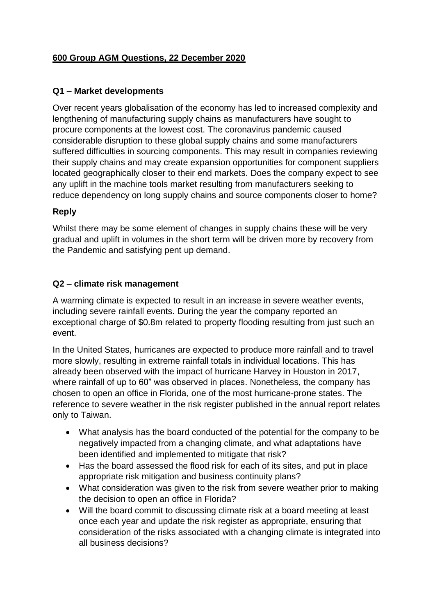## **600 Group AGM Questions, 22 December 2020**

### **Q1 – Market developments**

Over recent years globalisation of the economy has led to increased complexity and lengthening of manufacturing supply chains as manufacturers have sought to procure components at the lowest cost. The coronavirus pandemic caused considerable disruption to these global supply chains and some manufacturers suffered difficulties in sourcing components. This may result in companies reviewing their supply chains and may create expansion opportunities for component suppliers located geographically closer to their end markets. Does the company expect to see any uplift in the machine tools market resulting from manufacturers seeking to reduce dependency on long supply chains and source components closer to home?

#### **Reply**

Whilst there may be some element of changes in supply chains these will be very gradual and uplift in volumes in the short term will be driven more by recovery from the Pandemic and satisfying pent up demand.

#### **Q2 – climate risk management**

A warming climate is expected to result in an increase in severe weather events, including severe rainfall events. During the year the company reported an exceptional charge of \$0.8m related to property flooding resulting from just such an event.

In the United States, hurricanes are expected to produce more rainfall and to travel more slowly, resulting in extreme rainfall totals in individual locations. This has already been observed with the impact of hurricane Harvey in Houston in 2017, where rainfall of up to 60" was observed in places. Nonetheless, the company has chosen to open an office in Florida, one of the most hurricane-prone states. The reference to severe weather in the risk register published in the annual report relates only to Taiwan.

- What analysis has the board conducted of the potential for the company to be negatively impacted from a changing climate, and what adaptations have been identified and implemented to mitigate that risk?
- Has the board assessed the flood risk for each of its sites, and put in place appropriate risk mitigation and business continuity plans?
- What consideration was given to the risk from severe weather prior to making the decision to open an office in Florida?
- Will the board commit to discussing climate risk at a board meeting at least once each year and update the risk register as appropriate, ensuring that consideration of the risks associated with a changing climate is integrated into all business decisions?